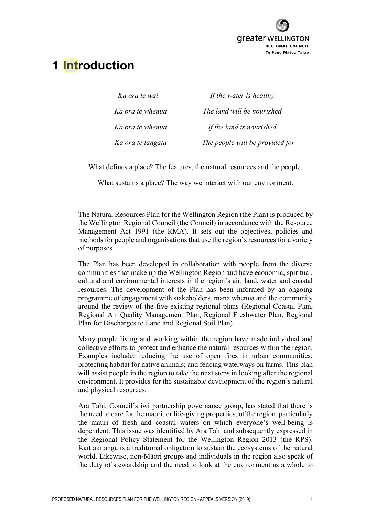

# **1 Introduction**

| Ka ora te wai     | If the water is healthy         |
|-------------------|---------------------------------|
| Ka ora te whenua  | The land will be nourished      |
| Ka ora te whenua  | If the land is nourished        |
| Ka ora te tangata | The people will be provided for |

What defines a place? The features, the natural resources and the people.

What sustains a place? The way we interact with our environment.

The Natural Resources Plan for the Wellington Region (the Plan) is produced by the Wellington Regional Council (the Council) in accordance with the Resource Management Act 1991 (the RMA). It sets out the objectives, policies and methods for people and organisations that use the region's resources for a variety of purposes.

The Plan has been developed in collaboration with people from the diverse communities that make up the Wellington Region and have economic, spiritual, cultural and environmental interests in the region's air, land, water and coastal resources. The development of the Plan has been informed by an ongoing programme of engagement with stakeholders, mana whenua and the community around the review of the five existing regional plans (Regional Coastal Plan, Regional Air Quality Management Plan, Regional Freshwater Plan, Regional Plan for Discharges to Land and Regional Soil Plan).

Many people living and working within the region have made individual and collective efforts to protect and enhance the natural resources within the region. Examples include: reducing the use of open fires in urban communities; protecting habitat for native animals; and fencing waterways on farms. This plan will assist people in the region to take the next steps in looking after the regional environment. It provides for the sustainable development of the region's natural and physical resources.

Ara Tahi, Council's iwi partnership governance group, has stated that there is the need to care for the mauri, or life-giving properties, of the region, particularly the mauri of fresh and coastal waters on which everyone's well-being is dependent. This issue was identified by Ara Tahi and subsequently expressed in the Regional Policy Statement for the Wellington Region 2013 (the RPS). Kaitiakitanga is a traditional obligation to sustain the ecosystems of the natural world. Likewise, non-Māori groups and individuals in the region also speak of the duty of stewardship and the need to look at the environment as a whole to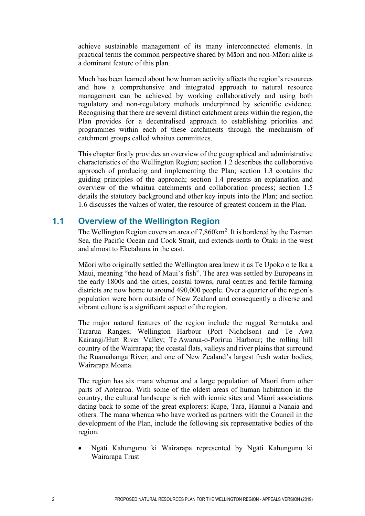achieve sustainable management of its many interconnected elements. In practical terms the common perspective shared by Māori and non-Māori alike is a dominant feature of this plan.

Much has been learned about how human activity affects the region's resources and how a comprehensive and integrated approach to natural resource management can be achieved by working collaboratively and using both regulatory and non-regulatory methods underpinned by scientific evidence. Recognising that there are several distinct catchment areas within the region, the Plan provides for a decentralised approach to establishing priorities and programmes within each of these catchments through the mechanism of catchment groups called whaitua committees.

This chapter firstly provides an overview of the geographical and administrative characteristics of the Wellington Region; section 1.2 describes the collaborative approach of producing and implementing the Plan; section 1.3 contains the guiding principles of the approach; section 1.4 presents an explanation and overview of the whaitua catchments and collaboration process; section 1.5 details the statutory background and other key inputs into the Plan; and section 1.6 discusses the values of water, the resource of greatest concern in the Plan.

## **1.1 Overview of the Wellington Region**

The Wellington Region covers an area of  $7,860 \text{km}^2$ . It is bordered by the Tasman Sea, the [Pacific Ocean](http://en.wikipedia.org/wiki/Pacific_Ocean) and [Cook Strait,](http://en.wikipedia.org/wiki/Cook_Strait) and extends north to Ōtaki in the west and almost to [Eketahuna](http://en.wikipedia.org/wiki/Eketahuna) in the east.

[Māori](http://en.wikipedia.org/wiki/M%C4%81ori_people) who originally settled the Wellington area knew it as Te Upoko o te Ika a Maui, meaning "the head of Maui's fish". The area was settled by Europeans in the early 1800s and the cities, coastal towns, rural centres and fertile farming districts are now home to around 490,000 people. Over a quarter of the region's population were born outside of New Zealand and consequently a diverse and vibrant culture is a significant aspect of the region.

The major natural features of the region include the rugged Remutaka and Tararua Ranges; Wellington Harbour (Port Nicholson) and Te Awa Kairangi/Hutt River Valley; Te Awarua-o-Porirua Harbour; the rolling hill country of the Wairarapa; the coastal flats, valleys and river plains that surround the [Ruamāhanga River](http://en.wikipedia.org/wiki/Ruamahanga_River); and one of New Zealand's largest fresh water bodies, Wairarapa Moana.

The region has six mana whenua and a large population of Māori from other parts of Aotearoa. With some of the oldest areas of human habitation in the country, the cultural landscape is rich with iconic sites and Māori associations dating back to some of the great explorers: Kupe, Tara, Haunui a Nanaia and others. The mana whenua who have worked as partners with the Council in the development of the Plan, include the following six representative bodies of the region.

• Ngāti Kahungunu ki Wairarapa represented by Ngāti Kahungunu ki Wairarapa Trust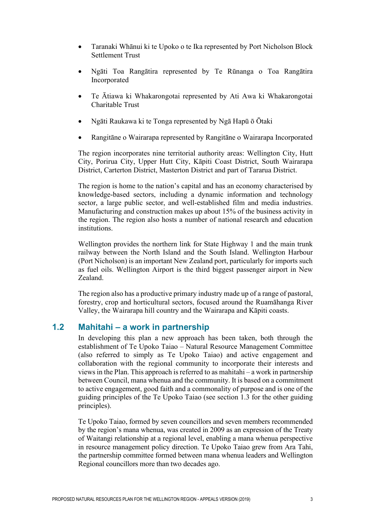- Taranaki Whānui ki te Upoko o te Ika represented by Port Nicholson Block Settlement Trust
- Ngāti Toa Rangātira represented by Te Rūnanga o Toa Rangātira Incorporated
- Te Ātiawa ki Whakarongotai represented by Ati Awa ki Whakarongotai Charitable Trust
- Ngāti Raukawa ki te Tonga represented by Ngā Hapū ō Ōtaki
- Rangitāne o Wairarapa represented by Rangitāne o Wairarapa Incorporated

The region incorporates nine territorial authority areas: Wellington City, Hutt City, Porirua City, Upper Hutt City, Kāpiti Coast District, South Wairarapa District, Carterton District, Masterton District and part of Tararua District.

The region is home to the nation's capital and has an economy characterised by knowledge-based sectors, including a dynamic information and technology sector, a large public sector, and well-established film and media industries. Manufacturing and construction makes up about 15% of the business activity in the region. The region also hosts a number of national research and education institutions.

Wellington provides the northern link for State Highway 1 and the main trunk railway between the North Island and the South Island. Wellington Harbour (Port Nicholson) is an important New Zealand port, particularly for imports such as fuel oils. Wellington Airport is the third biggest passenger airport in New Zealand.

The region also has a productive primary industry made up of a range of pastoral, forestry, crop and horticultural sectors, focused around the Ruamāhanga River Valley, the Wairarapa hill country and the Wairarapa and Kāpiti coasts.

## **1.2 Mahitahi – a work in partnership**

In developing this plan a new approach has been taken, both through the establishment of Te Upoko Taiao – Natural Resource Management Committee (also referred to simply as Te Upoko Taiao) and active engagement and collaboration with the regional community to incorporate their interests and views in the Plan. This approach is referred to as mahitahi – a work in partnership between Council, mana whenua and the community. It is based on a commitment to active engagement, good faith and a commonality of purpose and is one of the guiding principles of the Te Upoko Taiao (see section 1.3 for the other guiding principles).

Te Upoko Taiao, formed by seven councillors and seven members recommended by the region's mana whenua, was created in 2009 as an expression of the Treaty of Waitangi relationship at a regional level, enabling a mana whenua perspective in resource management policy direction. Te Upoko Taiao grew from Ara Tahi, the partnership committee formed between mana whenua leaders and Wellington Regional councillors more than two decades ago.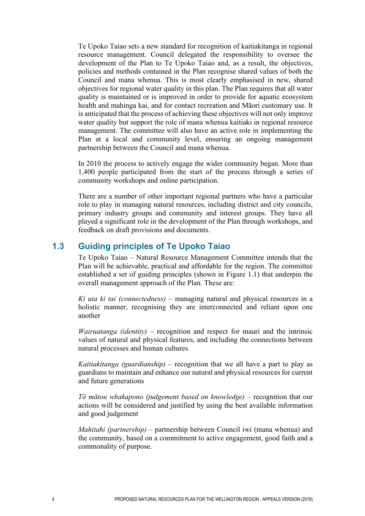Te Upoko Taiao sets a new standard for recognition of kaitiakitanga in regional resource management. Council delegated the responsibility to oversee the development of the Plan to Te Upoko Taiao and, as a result, the objectives, policies and methods contained in the Plan recognise shared values of both the Council and mana whenua. This is most clearly emphasised in new, shared objectives for regional water quality in this plan. The Plan requires that all water quality is maintained or is improved in order to provide for aquatic ecosystem health and mahinga kai, and for contact recreation and Māori customary use. It is anticipated that the process of achieving these objectives will not only improve water quality but support the role of mana whenua kaitiaki in regional resource management. The committee will also have an active role in implementing the Plan at a local and community level, ensuring an ongoing management partnership between the Council and mana whenua.

In 2010 the process to actively engage the wider community began. More than 1,400 people participated from the start of the process through a series of community workshops and online participation.

There are a number of other important regional partners who have a particular role to play in managing natural resources, including district and city councils, primary industry groups and community and interest groups. They have all played a significant role in the development of the Plan through workshops, and feedback on draft provisions and documents.

## **1.3 Guiding principles of Te Upoko Taiao**

Te Upoko Taiao – Natural Resource Management Committee intends that the Plan will be achievable, practical and affordable for the region. The committee established a set of guiding principles (shown in Figure 1.1) that underpin the overall management approach of the Plan. These are:

*Ki uta ki tai (connectedness)* – managing natural and physical resources in a holistic manner, recognising they are interconnected and reliant upon one another

*Wairuatanga (identity)* – recognition and respect for mauri and the intrinsic values of natural and physical features, and including the connections between natural processes and human cultures

*Kaitiakitanga (guardianship)* – recognition that we all have a part to play as guardians to maintain and enhance our natural and physical resources for current and future generations

*Tō mātou whakapono (judgement based on knowledge)* – recognition that our actions will be considered and justified by using the best available information and good judgement

*Mahitahi (partnership)* – partnership between Council iwi (mana whenua) and the community, based on a commitment to active engagement, good faith and a commonality of purpose.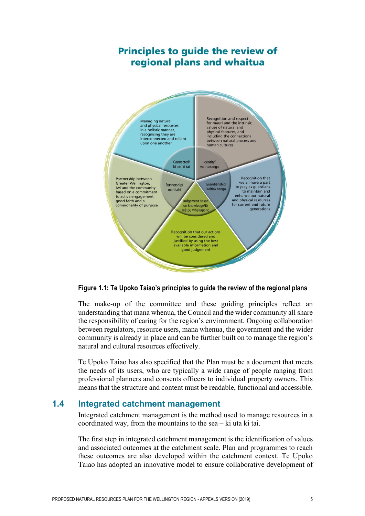## **Principles to guide the review of** regional plans and whaitua



**Figure 1.1: Te Upoko Taiao's principles to guide the review of the regional plans**

The make-up of the committee and these guiding principles reflect an understanding that mana whenua, the Council and the wider community all share the responsibility of caring for the region's environment. Ongoing collaboration between regulators, resource users, mana whenua, the government and the wider community is already in place and can be further built on to manage the region's natural and cultural resources effectively.

Te Upoko Taiao has also specified that the Plan must be a document that meets the needs of its users, who are typically a wide range of people ranging from professional planners and consents officers to individual property owners. This means that the structure and content must be readable, functional and accessible.

### **1.4 Integrated catchment management**

Integrated catchment management is the method used to manage resources in a coordinated way, from the mountains to the sea – ki uta ki tai.

The first step in integrated catchment management is the identification of values and associated outcomes at the catchment scale. Plan and programmes to reach these outcomes are also developed within the catchment context. Te Upoko Taiao has adopted an innovative model to ensure collaborative development of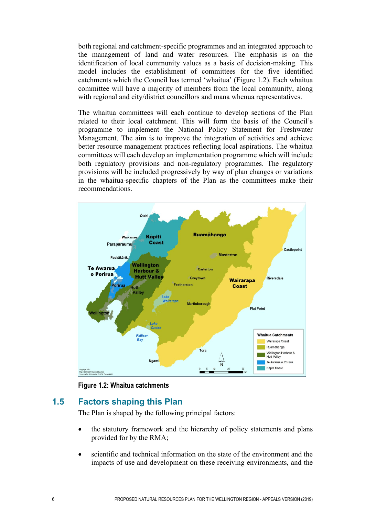both regional and catchment-specific programmes and an integrated approach to the management of land and water resources. The emphasis is on the identification of local community values as a basis of decision-making. This model includes the establishment of committees for the five identified catchments which the Council has termed 'whaitua' (Figure 1.2). Each whaitua committee will have a majority of members from the local community, along with regional and city/district councillors and mana whenua representatives.

The whaitua committees will each continue to develop sections of the Plan related to their local catchment. This will form the basis of the Council's programme to implement the National Policy Statement for Freshwater Management. The aim is to improve the integration of activities and achieve better resource management practices reflecting local aspirations. The whaitua committees will each develop an implementation programme which will include both regulatory provisions and non-regulatory programmes. The regulatory provisions will be included progressively by way of plan changes or variations in the whaitua-specific chapters of the Plan as the committees make their recommendations.



**Figure 1.2: Whaitua catchments**

## **1.5 Factors shaping this Plan**

The Plan is shaped by the following principal factors:

- the statutory framework and the hierarchy of policy statements and plans provided for by the RMA;
- scientific and technical information on the state of the environment and the impacts of use and development on these receiving environments, and the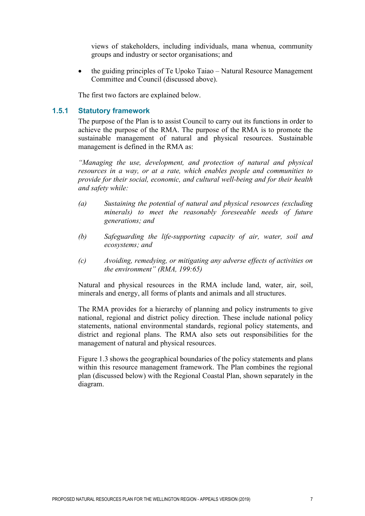views of stakeholders, including individuals, mana whenua, community groups and industry or sector organisations; and

• the guiding principles of Te Upoko Taiao – Natural Resource Management Committee and Council (discussed above).

The first two factors are explained below.

#### **1.5.1 Statutory framework**

The purpose of the Plan is to assist Council to carry out its functions in order to achieve the purpose of the RMA. The purpose of the RMA is to promote the sustainable management of natural and physical resources. Sustainable management is defined in the RMA as:

*"Managing the use, development, and protection of natural and physical resources in a way, or at a rate, which enables people and communities to provide for their social, economic, and cultural well-being and for their health and safety while:*

- *(a) Sustaining the potential of natural and physical resources (excluding minerals) to meet the reasonably foreseeable needs of future generations; and*
- *(b) Safeguarding the life-supporting capacity of air, water, soil and ecosystems; and*
- *(c) Avoiding, remedying, or mitigating any adverse effects of activities on the environment" (RMA, 199:65)*

Natural and physical resources in the RMA include land, water, air, soil, minerals and energy, all forms of plants and animals and all structures.

The RMA provides for a hierarchy of planning and policy instruments to give national, regional and district policy direction. These include national policy statements, national environmental standards, regional policy statements, and district and regional plans. The RMA also sets out responsibilities for the management of natural and physical resources.

Figure 1.3 shows the geographical boundaries of the policy statements and plans within this resource management framework. The Plan combines the regional plan (discussed below) with the Regional Coastal Plan, shown separately in the diagram.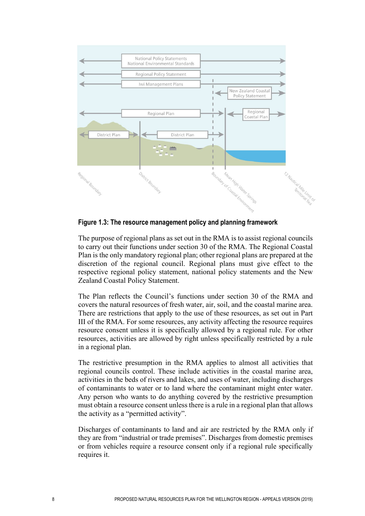

**Figure 1.3: The resource management policy and planning framework**

The purpose of regional plans as set out in the RMA is to assist regional councils to carry out their functions under section 30 of the RMA. The Regional Coastal Plan is the only mandatory regional plan; other regional plans are prepared at the discretion of the regional council. Regional plans must give effect to the respective regional policy statement, national policy statements and the New Zealand Coastal Policy Statement.

The Plan reflects the Council's functions under section 30 of the RMA and covers the natural resources of fresh water, air, soil, and the coastal marine area. There are restrictions that apply to the use of these resources, as set out in Part III of the RMA. For some resources, any activity affecting the resource requires resource consent unless it is specifically allowed by a regional rule. For other resources, activities are allowed by right unless specifically restricted by a rule in a regional plan.

The restrictive presumption in the RMA applies to almost all activities that regional councils control. These include activities in the coastal marine area, activities in the beds of rivers and lakes, and uses of water, including discharges of contaminants to water or to land where the contaminant might enter water. Any person who wants to do anything covered by the restrictive presumption must obtain a resource consent unless there is a rule in a regional plan that allows the activity as a "permitted activity".

Discharges of contaminants to land and air are restricted by the RMA only if they are from "industrial or trade premises". Discharges from domestic premises or from vehicles require a resource consent only if a regional rule specifically requires it.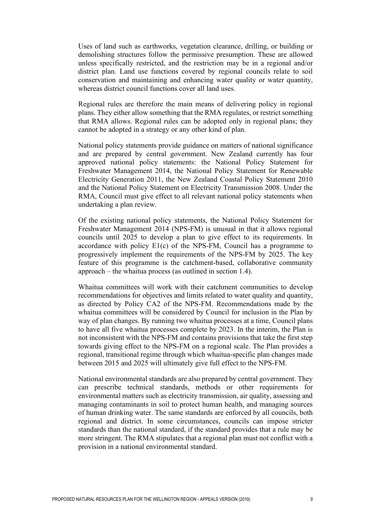Uses of land such as earthworks, vegetation clearance, drilling, or building or demolishing structures follow the permissive presumption. These are allowed unless specifically restricted, and the restriction may be in a regional and/or district plan. Land use functions covered by regional councils relate to soil conservation and maintaining and enhancing water quality or water quantity, whereas district council functions cover all land uses.

Regional rules are therefore the main means of delivering policy in regional plans. They either allow something that the RMA regulates, or restrict something that RMA allows. Regional rules can be adopted only in regional plans; they cannot be adopted in a strategy or any other kind of plan.

National policy statements provide guidance on matters of national significance and are prepared by central government. New Zealand currently has four approved national policy statements: the National Policy Statement for Freshwater Management 2014, the National Policy Statement for Renewable Electricity Generation 2011, the New Zealand Coastal Policy Statement 2010 and the National Policy Statement on Electricity Transmission 2008. Under the RMA, Council must give effect to all relevant national policy statements when undertaking a plan review.

Of the existing national policy statements, the National Policy Statement for Freshwater Management 2014 (NPS-FM) is unusual in that it allows regional councils until 2025 to develop a plan to give effect to its requirements. In accordance with policy E1(c) of the NPS-FM, Council has a programme to progressively implement the requirements of the NPS-FM by 2025. The key feature of this programme is the catchment-based, collaborative community approach – the whaitua process (as outlined in section 1.4).

Whaitua committees will work with their catchment communities to develop recommendations for objectives and limits related to water quality and quantity, as directed by Policy CA2 of the NPS-FM. Recommendations made by the whaitua committees will be considered by Council for inclusion in the Plan by way of plan changes. By running two whaitua processes at a time, Council plans to have all five whaitua processes complete by 2023. In the interim, the Plan is not inconsistent with the NPS-FM and contains provisions that take the first step towards giving effect to the NPS-FM on a regional scale. The Plan provides a regional, transitional regime through which whaitua-specific plan changes made between 2015 and 2025 will ultimately give full effect to the NPS-FM.

National environmental standards are also prepared by central government. They can prescribe technical standards, methods or other requirements for environmental matters such as electricity transmission, air quality, assessing and managing contaminants in soil to protect human health, and managing sources of human drinking water. The same standards are enforced by all councils, both regional and district. In some circumstances, councils can impose stricter standards than the national standard, if the standard provides that a rule may be more stringent. The RMA stipulates that a regional plan must not conflict with a provision in a national environmental standard.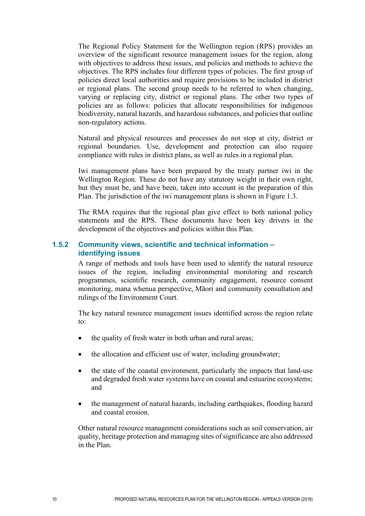The Regional Policy Statement for the Wellington region (RPS) provides an overview of the significant resource management issues for the region, along with objectives to address these issues, and policies and methods to achieve the objectives. The RPS includes four different types of policies. The first group of policies direct local authorities and require provisions to be included in district or regional plans. The second group needs to be referred to when changing, varying or replacing city, district or regional plans. The other two types of policies are as follows: policies that allocate responsibilities for indigenous biodiversity, natural hazards, and hazardous substances, and policies that outline non-regulatory actions.

Natural and physical resources and processes do not stop at city, district or regional boundaries. Use, development and protection can also require compliance with rules in district plans, as well as rules in a regional plan.

Iwi management plans have been prepared by the treaty partner iwi in the Wellington Region. These do not have any statutory weight in their own right, but they must be, and have been, taken into account in the preparation of this Plan. The jurisdiction of the iwi management plans is shown in Figure 1.3.

The RMA requires that the regional plan give effect to both national policy statements and the RPS. These documents have been key drivers in the development of the objectives and policies within this Plan.

#### **1.5.2 Community views, scientific and technical information – identifying issues**

A range of methods and tools have been used to identify the natural resource issues of the region, including environmental monitoring and research programmes, scientific research, community engagement, resource consent monitoring, mana whenua perspective, Māori and community consultation and rulings of the Environment Court.

The key natural resource management issues identified across the region relate to:

- the quality of fresh water in both urban and rural areas;
- the allocation and efficient use of water, including groundwater;
- the state of the coastal environment, particularly the impacts that land-use and degraded fresh water systems have on coastal and estuarine ecosystems; and
- the management of natural hazards, including earthquakes, flooding hazard and coastal erosion.

Other natural resource management considerations such as soil conservation, air quality, heritage protection and managing sites of significance are also addressed in the Plan.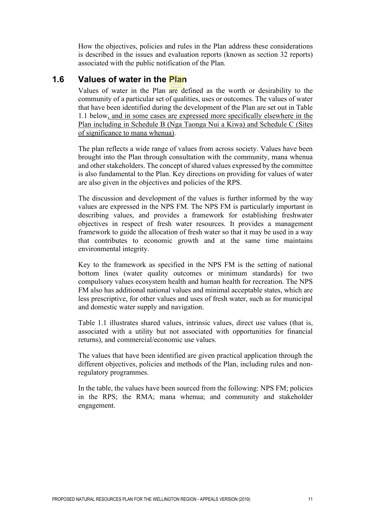How the objectives, policies and rules in the Plan address these considerations is described in the issues and evaluation reports (known as section 32 reports) associated with the public notification of the Plan.

## **1.6 Values of water in the Plan**

Values of water in the Plan are defined as the worth or desirability to the community of a particular set of qualities, uses or outcomes. The values of water that have been identified during the development of the Plan are set out in Table 1.1 below, and in some cases are expressed more specifically elsewhere in the Plan including in Schedule B (Nga Taonga Nui a Kiwa) and Schedule C (Sites of significance to mana whenua).

The plan reflects a wide range of values from across society. Values have been brought into the Plan through consultation with the community, mana whenua and other stakeholders. The concept of shared values expressed by the committee is also fundamental to the Plan. Key directions on providing for values of water are also given in the objectives and policies of the RPS.

The discussion and development of the values is further informed by the way values are expressed in the NPS FM. The NPS FM is particularly important in describing values, and provides a framework for establishing freshwater objectives in respect of fresh water resources. It provides a management framework to guide the allocation of fresh water so that it may be used in a way that contributes to economic growth and at the same time maintains environmental integrity.

Key to the framework as specified in the NPS FM is the setting of national bottom lines (water quality outcomes or minimum standards) for two compulsory values ecosystem health and human health for recreation. The NPS FM also has additional national values and minimal acceptable states, which are less prescriptive, for other values and uses of fresh water, such as for municipal and domestic water supply and navigation.

Table 1.1 illustrates shared values, intrinsic values, direct use values (that is, associated with a utility but not associated with opportunities for financial returns), and commercial/economic use values.

The values that have been identified are given practical application through the different objectives, policies and methods of the Plan, including rules and nonregulatory programmes.

In the table, the values have been sourced from the following: NPS FM; policies in the RPS; the RMA; mana whenua; and community and stakeholder engagement.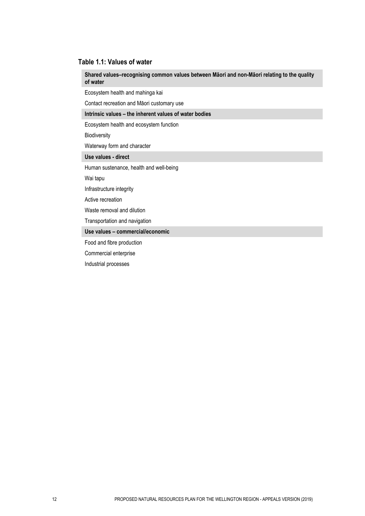#### **Table 1.1: Values of water**

**Shared values–recognising common values between Māori and non-Māori relating to the quality of water** 

Ecosystem health and mahinga kai

Contact recreation and Māori customary use

#### **Intrinsic values – the inherent values of water bodies**

Ecosystem health and ecosystem function

Biodiversity

Waterway form and character

#### **Use values - direct**

Human sustenance, health and well-being

Wai tapu

Infrastructure integrity

Active recreation

Waste removal and dilution

Transportation and navigation

**Use values – commercial/economic**

Food and fibre production

Commercial enterprise

Industrial processes